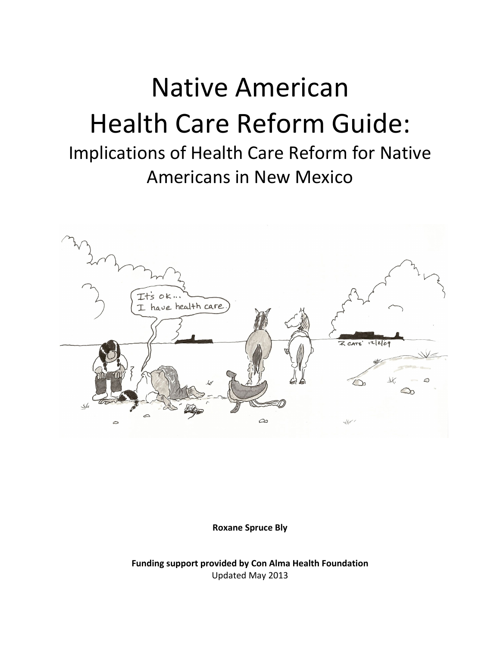# Native!American! Health Care Reform Guide: Implications of Health Care Reform for Native Americans in New Mexico



**Roxane Spruce Bly** 

Funding support provided by Con Alma Health Foundation Updated!May!2013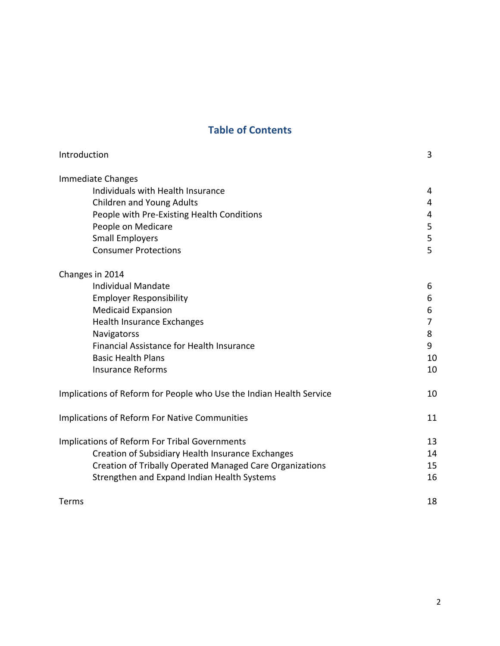# **Table of Contents**

| Introduction                                                        | 3  |
|---------------------------------------------------------------------|----|
| <b>Immediate Changes</b>                                            |    |
| Individuals with Health Insurance                                   | 4  |
| <b>Children and Young Adults</b>                                    | 4  |
| People with Pre-Existing Health Conditions                          | 4  |
| People on Medicare                                                  | 5  |
| <b>Small Employers</b>                                              | 5  |
| <b>Consumer Protections</b>                                         | 5  |
| Changes in 2014                                                     |    |
| <b>Individual Mandate</b>                                           | 6  |
| <b>Employer Responsibility</b>                                      | 6  |
| <b>Medicaid Expansion</b>                                           | 6  |
| Health Insurance Exchanges                                          | 7  |
| Navigatorss                                                         | 8  |
| <b>Financial Assistance for Health Insurance</b>                    | 9  |
| <b>Basic Health Plans</b>                                           | 10 |
| <b>Insurance Reforms</b>                                            | 10 |
| Implications of Reform for People who Use the Indian Health Service | 10 |
| <b>Implications of Reform For Native Communities</b>                | 11 |
| <b>Implications of Reform For Tribal Governments</b>                | 13 |
| Creation of Subsidiary Health Insurance Exchanges                   | 14 |
| Creation of Tribally Operated Managed Care Organizations            | 15 |
| Strengthen and Expand Indian Health Systems                         | 16 |
| Terms                                                               | 18 |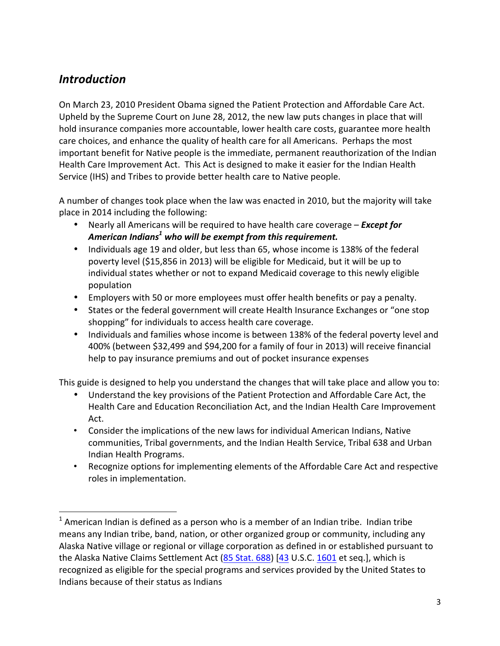# *Introduction*

!!!!!!!!!!!!!!!!!!!!!!!!!!!!!!!!!!!!!!!!!!!!!!!!!!!!!!!!!!!!!!!!!!

On March 23, 2010 President Obama signed the Patient Protection and Affordable Care Act. Upheld by the Supreme Court on June 28, 2012, the new law puts changes in place that will hold insurance companies more accountable, lower health care costs, guarantee more health care choices, and enhance the quality of health care for all Americans. Perhaps the most important benefit for Native people is the immediate, permanent reauthorization of the Indian Health Care Improvement Act. This Act is designed to make it easier for the Indian Health Service (IHS) and Tribes to provide better health care to Native people.

A number of changes took place when the law was enacted in 2010, but the majority will take place in 2014 including the following:

- Nearly all Americans will be required to have health care coverage *Except for* American Indians<sup>1</sup> who will be exempt from this requirement.
- Individuals age 19 and older, but less than 65, whose income is 138% of the federal poverty level (\$15,856 in 2013) will be eligible for Medicaid, but it will be up to individual states whether or not to expand Medicaid coverage to this newly eligible population
- Employers with 50 or more employees must offer health benefits or pay a penalty.
- States or the federal government will create Health Insurance Exchanges or "one stop" shopping" for individuals to access health care coverage.
- Individuals and families whose income is between 138% of the federal poverty level and 400% (between \$32,499 and \$94,200 for a family of four in 2013) will receive financial help to pay insurance premiums and out of pocket insurance expenses

This guide is designed to help you understand the changes that will take place and allow you to:

- Understand the key provisions of the Patient Protection and Affordable Care Act, the Health Care and Education Reconciliation Act, and the Indian Health Care Improvement Act.
- Consider the implications of the new laws for individual American Indians, Native communities, Tribal governments, and the Indian Health Service, Tribal 638 and Urban Indian Health Programs.
- Recognize options for implementing elements of the Affordable Care Act and respective roles in implementation.

 $1$  American Indian is defined as a person who is a member of an Indian tribe. Indian tribe means any Indian tribe, band, nation, or other organized group or community, including any Alaska Native village or regional or village corporation as defined in or established pursuant to the Alaska Native Claims Settlement Act (85 Stat. 688) [43 U.S.C. 1601 et seq.], which is recognized as eligible for the special programs and services provided by the United States to Indians because of their status as Indians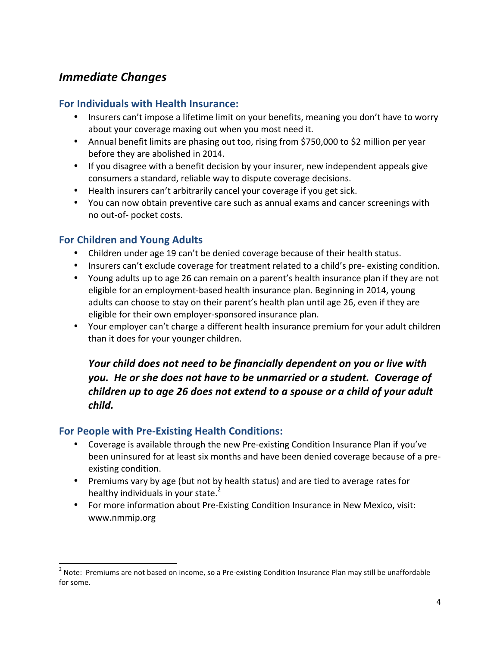# *Immediate\*Changes*

## For Individuals with Health Insurance:

- Insurers can't impose a lifetime limit on your benefits, meaning you don't have to worry about your coverage maxing out when you most need it.
- Annual benefit limits are phasing out too, rising from \$750,000 to \$2 million per year before they are abolished in 2014.
- If you disagree with a benefit decision by your insurer, new independent appeals give consumers a standard, reliable way to dispute coverage decisions.
- Health insurers can't arbitrarily cancel your coverage if you get sick.
- You can now obtain preventive care such as annual exams and cancer screenings with no out-of- pocket costs.

## For Children and Young Adults

- Children under age 19 can't be denied coverage because of their health status.
- Insurers can't exclude coverage for treatment related to a child's pre-existing condition.
- Young adults up to age 26 can remain on a parent's health insurance plan if they are not eligible for an employment-based health insurance plan. Beginning in 2014, young adults can choose to stay on their parent's health plan until age 26, even if they are eligible for their own employer-sponsored insurance plan.
- Your employer can't charge a different health insurance premium for your adult children than it does for your younger children.

# *Your child does not need to be financially dependent on you or live with you.\*\*He\*or\*she\*does\*not\*have\*to\*be\*unmarried or\*a\*student.\*\*Coverage\*of\* children\*up\*to\*age\*26\*does\*not\*extend\*to\*a\*spouse\*or\*a\*child\*of\*your\*adult\* child.*

## **For People with Pre-Existing Health Conditions:**

- Coverage is available through the new Pre-existing Condition Insurance Plan if you've been uninsured for at least six months and have been denied coverage because of a preexisting condition.
- Premiums vary by age (but not by health status) and are tied to average rates for healthy individuals in your state. $2$
- For more information about Pre-Existing Condition Insurance in New Mexico, visit: www.nmmip.org

<sup>&</sup>lt;sup>2</sup> Note: Premiums are not based on income, so a Pre-existing Condition Insurance Plan may still be unaffordable for!some.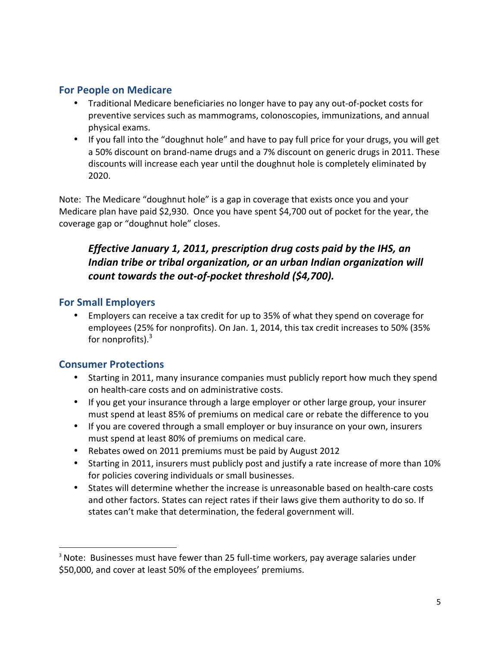## **For People on Medicare**

- Traditional Medicare beneficiaries no longer have to pay any out-of-pocket costs for preventive services such as mammograms, colonoscopies, immunizations, and annual physical exams.
- If you fall into the "doughnut hole" and have to pay full price for your drugs, you will get a 50% discount on brand-name drugs and a 7% discount on generic drugs in 2011. These discounts will increase each year until the doughnut hole is completely eliminated by 2020.

Note: The Medicare "doughnut hole" is a gap in coverage that exists once you and your Medicare plan have paid \$2,930. Once you have spent \$4,700 out of pocket for the year, the coverage gap or "doughnut hole" closes.

# *Effective\*January\*1,\*2011,\*prescription\*drug\*costs\*paid\*by\*the\*IHS,\*an\** Indian tribe or tribal organization, or an urban Indian organization will *count towards the out-of-pocket threshold (\$4,700).*

## **For'Small'Employers**

• Employers can receive a tax credit for up to 35% of what they spend on coverage for employees (25% for nonprofits). On Jan. 1, 2014, this tax credit increases to 50% (35% for nonprofits). $3$ 

## **Consumer Protections**

- Starting in 2011, many insurance companies must publicly report how much they spend on health-care costs and on administrative costs.
- If you get your insurance through a large employer or other large group, your insurer must spend at least 85% of premiums on medical care or rebate the difference to you
- If you are covered through a small employer or buy insurance on your own, insurers must spend at least 80% of premiums on medical care.
- Rebates owed on 2011 premiums must be paid by August 2012
- Starting in 2011, insurers must publicly post and justify a rate increase of more than 10% for policies covering individuals or small businesses.
- States will determine whether the increase is unreasonable based on health-care costs and other factors. States can reject rates if their laws give them authority to do so. If states can't make that determination, the federal government will.

 $3$  Note: Businesses must have fewer than 25 full-time workers, pay average salaries under \$50,000, and cover at least 50% of the employees' premiums.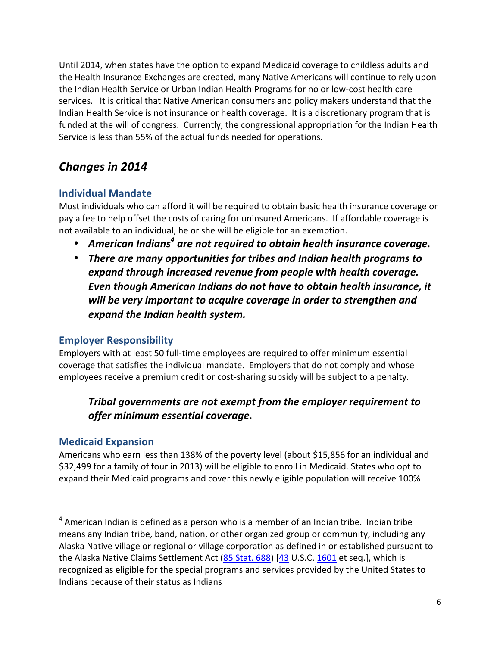Until 2014, when states have the option to expand Medicaid coverage to childless adults and the Health Insurance Exchanges are created, many Native Americans will continue to rely upon the Indian Health Service or Urban Indian Health Programs for no or low-cost health care services. It is critical that Native American consumers and policy makers understand that the Indian Health Service is not insurance or health coverage. It is a discretionary program that is funded at the will of congress. Currently, the congressional appropriation for the Indian Health Service is less than 55% of the actual funds needed for operations.

# **Changes in 2014**

## **Individual Mandate**

Most individuals who can afford it will be required to obtain basic health insurance coverage or pay a fee to help offset the costs of caring for uninsured Americans. If affordable coverage is not available to an individual, he or she will be eligible for an exemption.

- American Indians<sup>4</sup> are not required to obtain health insurance coverage.
- There are many opportunities for tribes and Indian health programs to expand through increased revenue from people with health coverage. Even though American Indians do not have to obtain health insurance, it will be very important to acquire coverage in order to strengthen and expand the Indian health system.

## **Employer Responsibility**

Employers with at least 50 full-time employees are required to offer minimum essential coverage that satisfies the individual mandate. Employers that do not comply and whose employees receive a premium credit or cost-sharing subsidy will be subject to a penalty.

# Tribal governments are not exempt from the employer requirement to offer minimum essential coverage.

## **Medicaid Expansion**

Americans who earn less than 138% of the poverty level (about \$15,856 for an individual and \$32,499 for a family of four in 2013) will be eligible to enroll in Medicaid. States who opt to expand their Medicaid programs and cover this newly eligible population will receive 100%

 $4$  American Indian is defined as a person who is a member of an Indian tribe. Indian tribe means any Indian tribe, band, nation, or other organized group or community, including any Alaska Native village or regional or village corporation as defined in or established pursuant to the Alaska Native Claims Settlement Act (85 Stat. 688) [43 U.S.C. 1601 et seq.], which is recognized as eligible for the special programs and services provided by the United States to Indians because of their status as Indians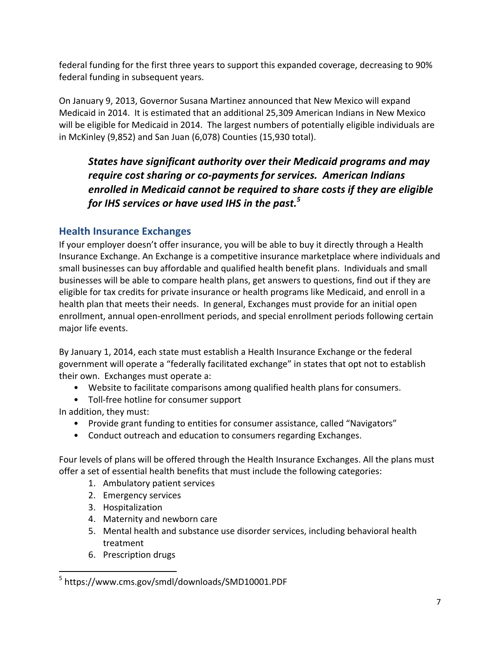federal funding for the first three years to support this expanded coverage, decreasing to 90% federal funding in subsequent years.

On January 9, 2013, Governor Susana Martinez announced that New Mexico will expand Medicaid in 2014. It is estimated that an additional 25,309 American Indians in New Mexico will be eligible for Medicaid in 2014. The largest numbers of potentially eligible individuals are in McKinley (9,852) and San Juan (6,078) Counties (15,930 total).

*States\*have\*significant\*authority\*over\*their\*Medicaid\*programs\*and\*may\* require cost sharing or co-payments for services. American Indians* enrolled in Medicaid cannot be required to share costs if they are eligible *for\*IHS\*services\*or\*have\*used\*IHS\*in\*the\*past. 5*

## **Health Insurance Exchanges**

If your employer doesn't offer insurance, you will be able to buy it directly through a Health Insurance Exchange. An Exchange is a competitive insurance marketplace where individuals and small businesses can buy affordable and qualified health benefit plans. Individuals and small businesses will be able to compare health plans, get answers to questions, find out if they are eligible for tax credits for private insurance or health programs like Medicaid, and enroll in a health plan that meets their needs. In general, Exchanges must provide for an initial open enrollment, annual open-enrollment periods, and special enrollment periods following certain major life events.

By January 1, 2014, each state must establish a Health Insurance Exchange or the federal government will operate a "federally facilitated exchange" in states that opt not to establish their own. Exchanges must operate a:

- Website to facilitate comparisons among qualified health plans for consumers.
- Toll-free hotline for consumer support

In addition, they must:

- Provide grant funding to entities for consumer assistance, called "Navigators"
- Conduct outreach and education to consumers regarding Exchanges.

Four levels of plans will be offered through the Health Insurance Exchanges. All the plans must offer a set of essential health benefits that must include the following categories:

- 1. Ambulatory patient services
- 2. Emergency services
- 3. Hospitalization
- 4. Maternity and newborn care
- 5. Mental health and substance use disorder services, including behavioral health treatment
- 6. Prescription drugs

<sup>5</sup> https://www.cms.gov/smdl/downloads/SMD10001.PDF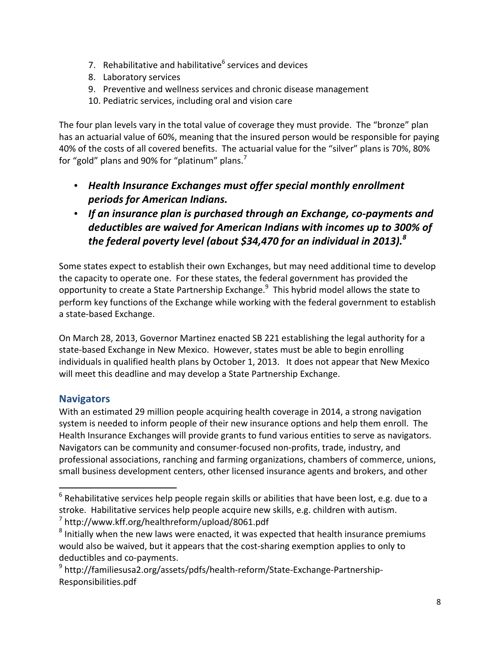- 7. Rehabilitative and habilitative<sup>6</sup> services and devices
- 8. Laboratory services
- 9. Preventive and wellness services and chronic disease management
- 10. Pediatric services, including oral and vision care

The four plan levels vary in the total value of coverage they must provide. The "bronze" plan has an actuarial value of 60%, meaning that the insured person would be responsible for paying 40% of the costs of all covered benefits. The actuarial value for the "silver" plans is 70%, 80% for "gold" plans and 90% for "platinum" plans. $<sup>7</sup>$ </sup>

- *Health\*Insurance\*Exchanges\*must\*offer\*special\*monthly\*enrollment\* periods\*for\*American\*Indians.*
- If an insurance plan is purchased through an Exchange, co-payments and deductibles are waived for American Indians with incomes up to 300% of *the\*federal\*poverty\*level (about\*\$34,470 for\*an\*individual in\*2013). 8*

Some states expect to establish their own Exchanges, but may need additional time to develop the capacity to operate one. For these states, the federal government has provided the opportunity to create a State Partnership Exchange. $^9$  This hybrid model allows the state to perform key functions of the Exchange while working with the federal government to establish a state-based Exchange.

On March 28, 2013, Governor Martinez enacted SB 221 establishing the legal authority for a state-based Exchange in New Mexico. However, states must be able to begin enrolling individuals in qualified health plans by October 1, 2013. It does not appear that New Mexico will meet this deadline and may develop a State Partnership Exchange.

## **Navigators**

!!!!!!!!!!!!!!!!!!!!!!!!!!!!!!!!!!!!!!!!!!!!!!!!!!!!!!!!!!!!!!!!!!

With an estimated 29 million people acquiring health coverage in 2014, a strong navigation system is needed to inform people of their new insurance options and help them enroll. The Health Insurance Exchanges will provide grants to fund various entities to serve as navigators. Navigators can be community and consumer-focused non-profits, trade, industry, and professional associations, ranching and farming organizations, chambers of commerce, unions, small business development centers, other licensed insurance agents and brokers, and other

 $6$  Rehabilitative services help people regain skills or abilities that have been lost, e.g. due to a stroke. Habilitative services help people acquire new skills, e.g. children with autism. <sup>7</sup> http://www.kff.org/healthreform/upload/8061.pdf

<sup>&</sup>lt;sup>8</sup> Initially when the new laws were enacted, it was expected that health insurance premiums would also be waived, but it appears that the cost-sharing exemption applies to only to deductibles and co-payments.

<sup>&</sup>lt;sup>9</sup> http://familiesusa2.org/assets/pdfs/health-reform/State-Exchange-Partnership-Responsibilities.pdf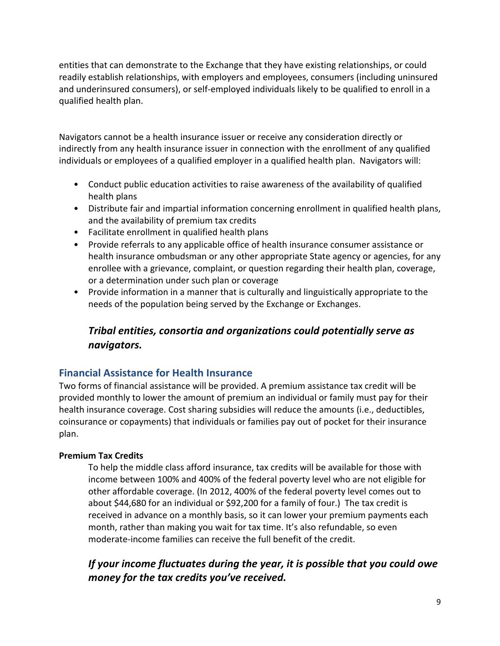entities that can demonstrate to the Exchange that they have existing relationships, or could readily establish relationships, with employers and employees, consumers (including uninsured and underinsured consumers), or self-employed individuals likely to be qualified to enroll in a qualified health plan.

Navigators cannot be a health insurance issuer or receive any consideration directly or indirectly from any health insurance issuer in connection with the enrollment of any qualified individuals or employees of a qualified employer in a qualified health plan. Navigators will:

- Conduct public education activities to raise awareness of the availability of qualified health plans
- Distribute fair and impartial information concerning enrollment in qualified health plans, and the availability of premium tax credits
- Facilitate enrollment in qualified health plans
- Provide referrals to any applicable office of health insurance consumer assistance or health insurance ombudsman or any other appropriate State agency or agencies, for any enrollee with a grievance, complaint, or question regarding their health plan, coverage, or a determination under such plan or coverage
- Provide information in a manner that is culturally and linguistically appropriate to the needs of the population being served by the Exchange or Exchanges.

# *Tribal\*entities,\*consortia\*and\*organizations\*could\*potentially\*serve\*as\* navigators.*

## **Financial Assistance for Health Insurance**

Two forms of financial assistance will be provided. A premium assistance tax credit will be provided monthly to lower the amount of premium an individual or family must pay for their health insurance coverage. Cost sharing subsidies will reduce the amounts (i.e., deductibles, coinsurance or copayments) that individuals or families pay out of pocket for their insurance plan.

## **Premium'Tax'Credits'**

To help the middle class afford insurance, tax credits will be available for those with income between 100% and 400% of the federal poverty level who are not eligible for other affordable coverage. (In 2012, 400% of the federal poverty level comes out to about \$44,680 for an individual or \$92,200 for a family of four.) The tax credit is received in advance on a monthly basis, so it can lower your premium payments each month, rather than making you wait for tax time. It's also refundable, so even moderate-income families can receive the full benefit of the credit.

# *If\*your\*income\*fluctuates\*during\*the\*year,\*it\*is\*possible\*that\*you\*could\*owe\* money for the tax credits you've received.*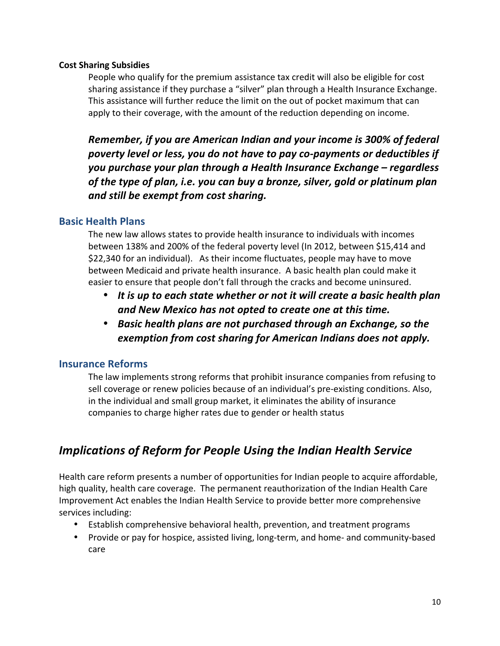#### **Cost Sharing Subsidies**

People who qualify for the premium assistance tax credit will also be eligible for cost sharing assistance if they purchase a "silver" plan through a Health Insurance Exchange. This assistance will further reduce the limit on the out of pocket maximum that can apply to their coverage, with the amount of the reduction depending on income.

Remember, if you are American Indian and your income is 300% of federal poverty level or less, you do not have to pay co-payments or deductibles if you purchase your plan through a Health Insurance Exchange – regardless of the type of plan, i.e. you can buy a bronze, silver, gold or platinum plan and still be exempt from cost sharing.

## **Basic Health Plans**

The new law allows states to provide health insurance to individuals with incomes between 138% and 200% of the federal poverty level (In 2012, between \$15,414 and \$22,340 for an individual). As their income fluctuates, people may have to move between Medicaid and private health insurance. A basic health plan could make it easier to ensure that people don't fall through the cracks and become uninsured.

- It is up to each state whether or not it will create a basic health plan and New Mexico has not opted to create one at this time.
- $\bullet$ Basic health plans are not purchased through an Exchange, so the exemption from cost sharing for American Indians does not apply.

#### **Insurance Reforms**

The law implements strong reforms that prohibit insurance companies from refusing to sell coverage or renew policies because of an individual's pre-existing conditions. Also, in the individual and small group market, it eliminates the ability of insurance companies to charge higher rates due to gender or health status

# **Implications of Reform for People Using the Indian Health Service**

Health care reform presents a number of opportunities for Indian people to acquire affordable. high quality, health care coverage. The permanent reauthorization of the Indian Health Care Improvement Act enables the Indian Health Service to provide better more comprehensive services including:

- Establish comprehensive behavioral health, prevention, and treatment programs
- Provide or pay for hospice, assisted living, long-term, and home- and community-based care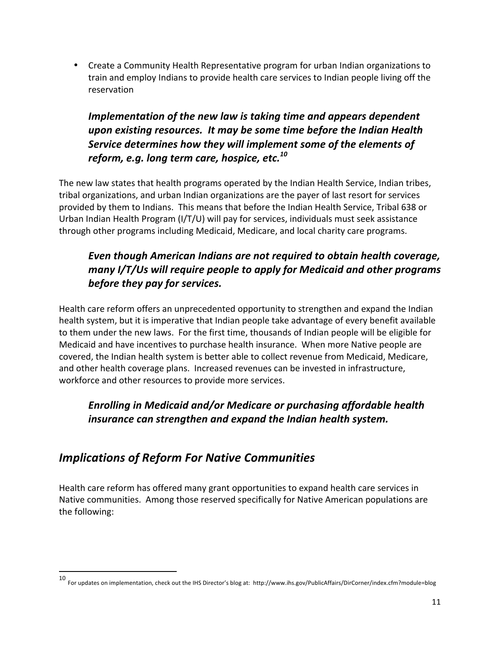• Create a Community Health Representative program for urban Indian organizations to train and employ Indians to provide health care services to Indian people living off the reservation

# Implementation of the new law is taking time and appears dependent upon existing resources. It may be some time before the Indian Health Service determines how they will implement some of the elements of reform, e.g. long term care, hospice, etc.<sup>10</sup>

The new law states that health programs operated by the Indian Health Service, Indian tribes, tribal organizations, and urban Indian organizations are the payer of last resort for services provided by them to Indians. This means that before the Indian Health Service, Tribal 638 or Urban Indian Health Program (I/T/U) will pay for services, individuals must seek assistance through other programs including Medicaid, Medicare, and local charity care programs.

# Even though American Indians are not required to obtain health coverage, many I/T/Us will require people to apply for Medicaid and other programs before they pay for services.

Health care reform offers an unprecedented opportunity to strengthen and expand the Indian health system, but it is imperative that Indian people take advantage of every benefit available to them under the new laws. For the first time, thousands of Indian people will be eligible for Medicaid and have incentives to purchase health insurance. When more Native people are covered, the Indian health system is better able to collect revenue from Medicaid, Medicare, and other health coverage plans. Increased revenues can be invested in infrastructure, workforce and other resources to provide more services.

# Enrolling in Medicaid and/or Medicare or purchasing affordable health insurance can strengthen and expand the Indian health system.

# **Implications of Reform For Native Communities**

Health care reform has offered many grant opportunities to expand health care services in Native communities. Among those reserved specifically for Native American populations are the following:

 $10$  For updates on implementation, check out the IHS Director's blog at: http://www.ihs.gov/PublicAffairs/DirCorner/index.cfm?module=blog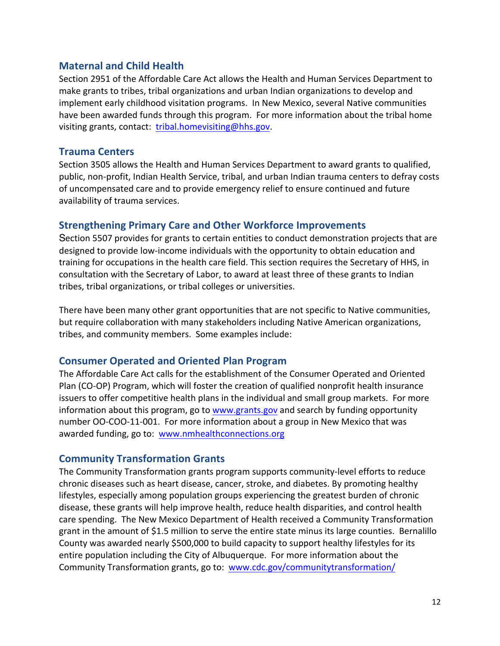#### **Maternal'and'Child'Health**

Section 2951 of the Affordable Care Act allows the Health and Human Services Department to make grants to tribes, tribal organizations and urban Indian organizations to develop and implement early childhood visitation programs. In New Mexico, several Native communities have been awarded funds through this program. For more information about the tribal home visiting grants, contact: tribal.homevisiting@hhs.gov.

#### **Trauma'Centers**

Section 3505 allows the Health and Human Services Department to award grants to qualified, public, non-profit, Indian Health Service, tribal, and urban Indian trauma centers to defray costs of uncompensated care and to provide emergency relief to ensure continued and future availability of trauma services.

## **Strengthening Primary Care and Other Workforce Improvements**

Section 5507 provides for grants to certain entities to conduct demonstration projects that are designed to provide low-income individuals with the opportunity to obtain education and training for occupations in the health care field. This section requires the Secretary of HHS, in consultation with the Secretary of Labor, to award at least three of these grants to Indian tribes, tribal organizations, or tribal colleges or universities.

There have been many other grant opportunities that are not specific to Native communities, but require collaboration with many stakeholders including Native American organizations, tribes, and community members. Some examples include:

## **Consumer'Operated'and'Oriented'Plan'Program**

The Affordable Care Act calls for the establishment of the Consumer Operated and Oriented Plan (CO-OP) Program, which will foster the creation of qualified nonprofit health insurance issuers to offer competitive health plans in the individual and small group markets. For more information about this program, go to www.grants.gov and search by funding opportunity number OO-COO-11-001. For more information about a group in New Mexico that was awarded funding, go to: www.nmhealthconnections.org

#### **Community'Transformation Grants**

The Community Transformation grants program supports community-level efforts to reduce chronic diseases such as heart disease, cancer, stroke, and diabetes. By promoting healthy lifestyles, especially among population groups experiencing the greatest burden of chronic disease, these grants will help improve health, reduce health disparities, and control health care spending. The New Mexico Department of Health received a Community Transformation grant in the amount of \$1.5 million to serve the entire state minus its large counties. Bernalillo County was awarded nearly \$500,000 to build capacity to support healthy lifestyles for its entire population including the City of Albuquerque. For more information about the Community Transformation grants, go to: www.cdc.gov/communitytransformation/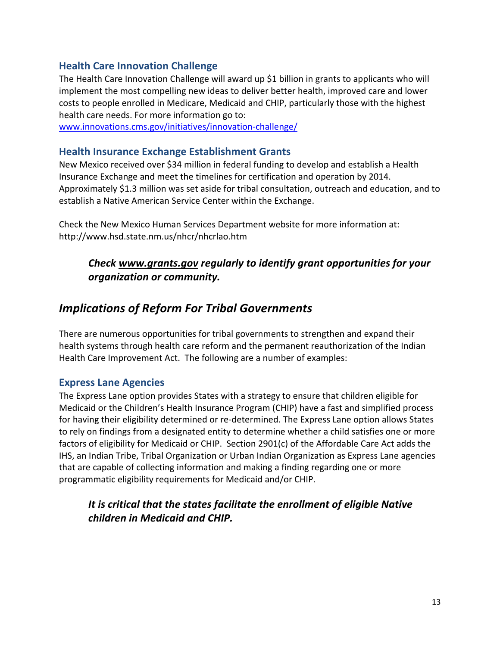## **Health Care Innovation Challenge**

The Health Care Innovation Challenge will award up \$1 billion in grants to applicants who will implement the most compelling new ideas to deliver better health, improved care and lower costs to people enrolled in Medicare, Medicaid and CHIP, particularly those with the highest health care needs. For more information go to:

www.innovations.cms.gov/initiatives/innovation-challenge/

## **Health Insurance Exchange Establishment Grants**

New Mexico received over \$34 million in federal funding to develop and establish a Health Insurance Exchange and meet the timelines for certification and operation by 2014. Approximately \$1.3 million was set aside for tribal consultation, outreach and education, and to establish a Native American Service Center within the Exchange.

Check the New Mexico Human Services Department website for more information at: http://www.hsd.state.nm.us/nhcr/nhcrlao.htm

# *Check\*www.grants.gov regularly\*to\*identify\*grant\*opportunities\*for\*your\* organization\*or\*community.\*\**

# *Implications\*of\*Reform\*For\*Tribal\*Governments*

There are numerous opportunities for tribal governments to strengthen and expand their health systems through health care reform and the permanent reauthorization of the Indian Health Care Improvement Act. The following are a number of examples:

## **Express Lane Agencies**

The Express Lane option provides States with a strategy to ensure that children eligible for Medicaid or the Children's Health Insurance Program (CHIP) have a fast and simplified process for having their eligibility determined or re-determined. The Express Lane option allows States to rely on findings from a designated entity to determine whether a child satisfies one or more factors of eligibility for Medicaid or CHIP. Section 2901(c) of the Affordable Care Act adds the IHS, an Indian Tribe, Tribal Organization or Urban Indian Organization as Express Lane agencies that are capable of collecting information and making a finding regarding one or more programmatic eligibility requirements for Medicaid and/or CHIP.

# It is critical that the states *facilitate the enrollment of eligible Native children\*in\*Medicaid\*and\*CHIP.\*\**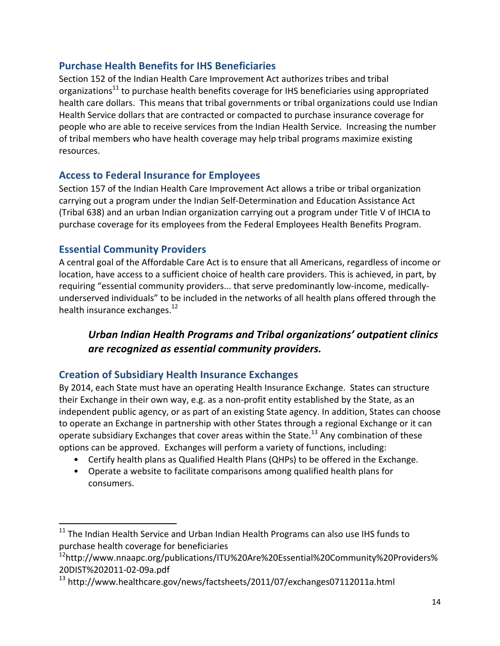## **Purchase Health Benefits for IHS Beneficiaries**

Section 152 of the Indian Health Care Improvement Act authorizes tribes and tribal organizations<sup>11</sup> to purchase health benefits coverage for IHS beneficiaries using appropriated health care dollars. This means that tribal governments or tribal organizations could use Indian Health Service dollars that are contracted or compacted to purchase insurance coverage for people who are able to receive services from the Indian Health Service. Increasing the number of tribal members who have health coverage may help tribal programs maximize existing resources.

## Access to Federal Insurance for Employees

Section 157 of the Indian Health Care Improvement Act allows a tribe or tribal organization carrying out a program under the Indian Self-Determination and Education Assistance Act (Tribal 638) and an urban Indian organization carrying out a program under Title V of IHCIA to purchase coverage for its employees from the Federal Employees Health Benefits Program.

## **Essential Community Providers**

!!!!!!!!!!!!!!!!!!!!!!!!!!!!!!!!!!!!!!!!!!!!!!!!!!!!!!!!!!!!!!!!!!

A central goal of the Affordable Care Act is to ensure that all Americans, regardless of income or location, have access to a sufficient choice of health care providers. This is achieved, in part, by requiring "essential community providers... that serve predominantly low-income, medicallyunderserved individuals" to be included in the networks of all health plans offered through the health insurance exchanges. $12$ 

# *Urban\*Indian\*Health\*Programs\*and\*Tribal\*organizations'\*outpatient\*clinics\** are recognized as essential community providers.

## **Creation'of'Subsidiary'Health'Insurance'Exchanges**

By 2014, each State must have an operating Health Insurance Exchange. States can structure their Exchange in their own way, e.g. as a non-profit entity established by the State, as an independent public agency, or as part of an existing State agency. In addition, States can choose to operate an Exchange in partnership with other States through a regional Exchange or it can operate subsidiary Exchanges that cover areas within the State.<sup>13</sup> Any combination of these options can be approved. Exchanges will perform a variety of functions, including:

- Certify health plans as Qualified Health Plans (QHPs) to be offered in the Exchange.
- Operate a website to facilitate comparisons among qualified health plans for consumers.

 $11$  The Indian Health Service and Urban Indian Health Programs can also use IHS funds to purchase health coverage for beneficiaries

<sup>12</sup>http://www.nnaapc.org/publications/ITU%20Are%20Essential%20Community%20Providers% 20DIST%202011-02-09a.pdf

<sup>13</sup> http://www.healthcare.gov/news/factsheets/2011/07/exchanges07112011a.html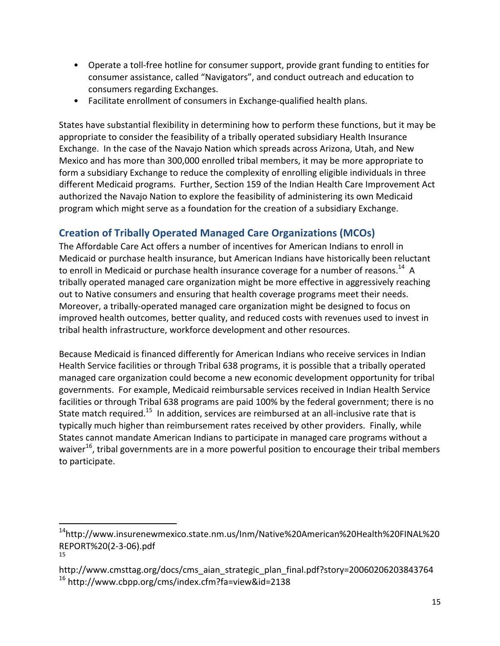- Operate a toll-free hotline for consumer support, provide grant funding to entities for consumer assistance, called "Navigators", and conduct outreach and education to consumers regarding Exchanges.
- Facilitate enrollment of consumers in Exchange-qualified health plans.

States have substantial flexibility in determining how to perform these functions, but it may be appropriate to consider the feasibility of a tribally operated subsidiary Health Insurance Exchange. In the case of the Navajo Nation which spreads across Arizona, Utah, and New Mexico and has more than 300,000 enrolled tribal members, it may be more appropriate to form a subsidiary Exchange to reduce the complexity of enrolling eligible individuals in three different Medicaid programs. Further, Section 159 of the Indian Health Care Improvement Act authorized the Navajo Nation to explore the feasibility of administering its own Medicaid program which might serve as a foundation for the creation of a subsidiary Exchange.

# **Creation'of'Tribally'Operated'Managed'Care'Organizations'(MCOs)**

The Affordable Care Act offers a number of incentives for American Indians to enroll in Medicaid or purchase health insurance, but American Indians have historically been reluctant to enroll in Medicaid or purchase health insurance coverage for a number of reasons.<sup>14</sup> A tribally operated managed care organization might be more effective in aggressively reaching out to Native consumers and ensuring that health coverage programs meet their needs. Moreover, a tribally-operated managed care organization might be designed to focus on improved health outcomes, better quality, and reduced costs with revenues used to invest in tribal health infrastructure, workforce development and other resources.

Because Medicaid is financed differently for American Indians who receive services in Indian Health Service facilities or through Tribal 638 programs, it is possible that a tribally operated managed care organization could become a new economic development opportunity for tribal governments. For example, Medicaid reimbursable services received in Indian Health Service facilities or through Tribal 638 programs are paid 100% by the federal government; there is no State match required.<sup>15</sup> In addition, services are reimbursed at an all-inclusive rate that is typically much higher than reimbursement rates received by other providers. Finally, while States cannot mandate American Indians to participate in managed care programs without a waiver<sup>16</sup>, tribal governments are in a more powerful position to encourage their tribal members to participate.

<sup>14</sup>http://www.insurenewmexico.state.nm.us/Inm/Native%20American%20Health%20FINAL%20 REPORT%20(2-3-06).pdf 15

http://www.cmsttag.org/docs/cms\_aian\_strategic\_plan\_final.pdf?story=20060206203843764 <sup>16</sup> http://www.cbpp.org/cms/index.cfm?fa=view&id=2138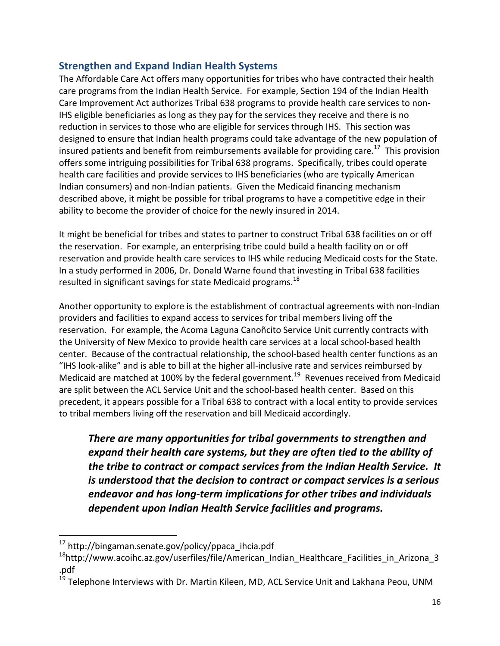## **Strengthen'and'Expand'Indian'Health'Systems**

The Affordable Care Act offers many opportunities for tribes who have contracted their health care programs from the Indian Health Service. For example, Section 194 of the Indian Health Care Improvement Act authorizes Tribal 638 programs to provide health care services to non-IHS eligible beneficiaries as long as they pay for the services they receive and there is no reduction in services to those who are eligible for services through IHS. This section was designed to ensure that Indian health programs could take advantage of the new population of insured patients and benefit from reimbursements available for providing care.<sup>17</sup> This provision offers some intriguing possibilities for Tribal 638 programs. Specifically, tribes could operate health care facilities and provide services to IHS beneficiaries (who are typically American Indian consumers) and non-Indian patients. Given the Medicaid financing mechanism described above, it might be possible for tribal programs to have a competitive edge in their ability to become the provider of choice for the newly insured in 2014.

It might be beneficial for tribes and states to partner to construct Tribal 638 facilities on or off the reservation. For example, an enterprising tribe could build a health facility on or off reservation and provide health care services to IHS while reducing Medicaid costs for the State. In a study performed in 2006, Dr. Donald Warne found that investing in Tribal 638 facilities resulted in significant savings for state Medicaid programs.<sup>18</sup>

Another opportunity to explore is the establishment of contractual agreements with non-Indian providers and facilities to expand access to services for tribal members living off the reservation. For example, the Acoma Laguna Canoñcito Service Unit currently contracts with the University of New Mexico to provide health care services at a local school-based health center. Because of the contractual relationship, the school-based health center functions as an "IHS look-alike" and is able to bill at the higher all-inclusive rate and services reimbursed by Medicaid are matched at 100% by the federal government.<sup>19</sup> Revenues received from Medicaid are split between the ACL Service Unit and the school-based health center. Based on this precedent, it appears possible for a Tribal 638 to contract with a local entity to provide services to tribal members living off the reservation and bill Medicaid accordingly.

There are many opportunities for tribal governments to strengthen and *expand\*their\*health\*care\*systems,\*but\*they\*are\*often\*tied\*to\*the\*ability of\** the tribe to contract or compact services from the Indian Health Service. It *is understood that the decision to contract or compact services is a serious* endeavor and has long-term implications for other tribes and individuals *dependent\*upon\*Indian\*Health\*Service\*facilities\*and\*programs.*

<sup>17</sup> http://bingaman.senate.gov/policy/ppaca\_ihcia.pdf

 $18$ http://www.acoihc.az.gov/userfiles/file/American\_Indian\_Healthcare\_Facilities\_in\_Arizona\_3 .pdf

<sup>&</sup>lt;sup>19</sup> Telephone Interviews with Dr. Martin Kileen, MD, ACL Service Unit and Lakhana Peou, UNM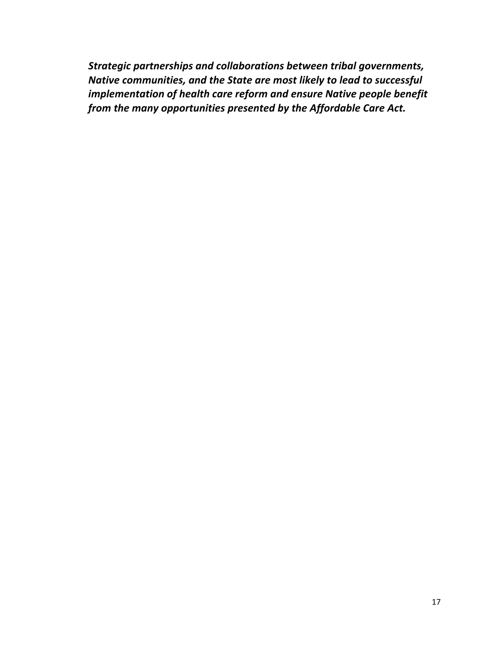*Strategic\*partnerships\*and\*collaborations\*between\*tribal\*governments,\* Native communities, and the State are most likely to lead to successful implementation of health care reform and ensure Native people benefit from\*the\*many\*opportunities\*presented\*by\*the\*Affordable\*Care\*Act.*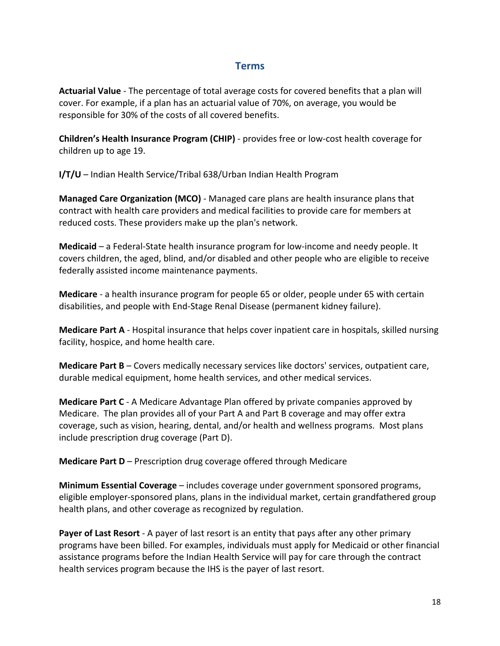#### **Terms**

Actuarial Value - The percentage of total average costs for covered benefits that a plan will cover. For example, if a plan has an actuarial value of 70%, on average, you would be responsible for 30% of the costs of all covered benefits.

**Children's Health Insurance Program (CHIP)** - provides free or low-cost health coverage for children up to age 19.

**I/T/U** – Indian Health Service/Tribal 638/Urban Indian Health Program

**Managed Care Organization (MCO)** - Managed care plans are health insurance plans that contract with health care providers and medical facilities to provide care for members at reduced costs. These providers make up the plan's network.

**Medicaid** – a Federal-State health insurance program for low-income and needy people. It covers children, the aged, blind, and/or disabled and other people who are eligible to receive federally assisted income maintenance payments.

**Medicare** - a health insurance program for people 65 or older, people under 65 with certain disabilities, and people with End-Stage Renal Disease (permanent kidney failure).

**Medicare Part A** - Hospital insurance that helps cover inpatient care in hospitals, skilled nursing facility, hospice, and home health care.

**Medicare Part B** – Covers medically necessary services like doctors' services, outpatient care, durable medical equipment, home health services, and other medical services.

**Medicare Part C** - A Medicare Advantage Plan offered by private companies approved by Medicare. The plan provides all of your Part A and Part B coverage and may offer extra coverage, such as vision, hearing, dental, and/or health and wellness programs. Most plans include prescription drug coverage (Part D).

**Medicare Part D** – Prescription drug coverage offered through Medicare

**Minimum Essential Coverage** – includes coverage under government sponsored programs, eligible employer-sponsored plans, plans in the individual market, certain grandfathered group health plans, and other coverage as recognized by regulation.

**Payer of Last Resort** - A payer of last resort is an entity that pays after any other primary programs have been billed. For examples, individuals must apply for Medicaid or other financial assistance programs before the Indian Health Service will pay for care through the contract health services program because the IHS is the payer of last resort.